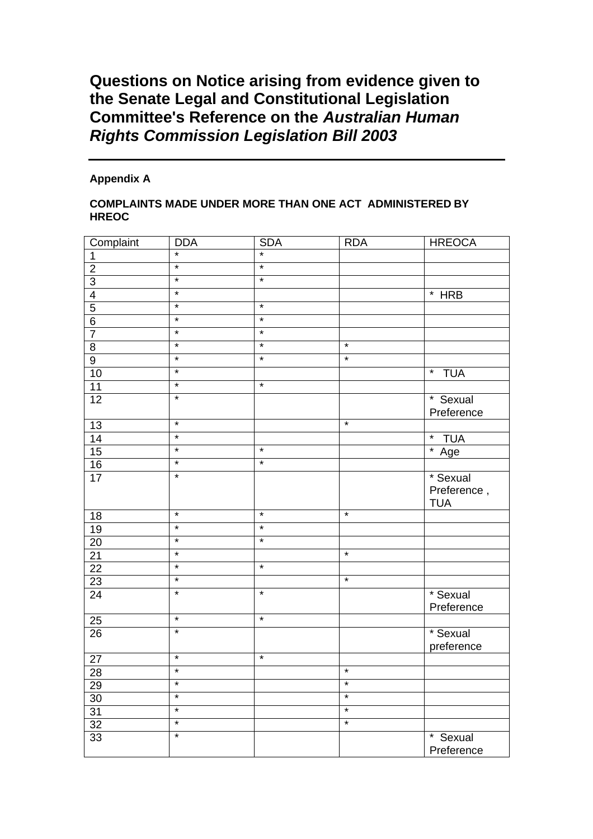## **Questions on Notice arising from evidence given to the Senate Legal and Constitutional Legislation Committee's Reference on the** *Australian Human Rights Commission Legislation Bill 2003*

## **Appendix A**

## **COMPLAINTS MADE UNDER MORE THAN ONE ACT ADMINISTERED BY HREOC**

| Complaint       | <b>DDA</b> | <b>SDA</b> | <b>RDA</b>        | <b>HREOCA</b>         |
|-----------------|------------|------------|-------------------|-----------------------|
| 1               | $\star$    | $\star$    |                   |                       |
| $\overline{2}$  | $\star$    | $\star$    |                   |                       |
| $\overline{3}$  | $\star$    | $\star$    |                   |                       |
| $\overline{4}$  | $\star$    |            |                   | $*$ HRB               |
| $\overline{5}$  | $\star$    | $\star$    |                   |                       |
| $\overline{6}$  | $\star$    | $\star$    |                   |                       |
| $\overline{7}$  | $\star$    | $\star$    |                   |                       |
| $\overline{8}$  | $\star$    | $\star$    | $\star$           |                       |
| $\overline{9}$  | $\star$    | $\ast$     | $\star$           |                       |
| 10              | $\star$    |            |                   | $\star$<br><b>TUA</b> |
| 11              | $\star$    | $\star$    |                   |                       |
| 12              | $\star$    |            |                   | * Sexual              |
|                 |            |            |                   | Preference            |
| $\overline{13}$ | $\star$    |            | $\ast$            |                       |
| 14              | $\star$    |            |                   | * TUA                 |
| 15              | $\star$    | $\star$    |                   | $*$ Age               |
| 16              | $\star$    | $\star$    |                   |                       |
| 17              | $\star$    |            |                   | * Sexual              |
|                 |            |            |                   | Preference,           |
|                 | $\star$    | $\star$    | $\star$           | <b>TUA</b>            |
| 18              | $\star$    | $\star$    |                   |                       |
| 19              | $\star$    | $\star$    |                   |                       |
| 20              | $\star$    |            | $\star$           |                       |
| 21              | $\star$    | $\star$    |                   |                       |
| $\overline{22}$ | $\star$    |            | $\overline{\ast}$ |                       |
| $\overline{23}$ |            |            |                   |                       |
| 24              | $\star$    | $\star$    |                   | * Sexual              |
|                 | $\ast$     | $\ast$     |                   | Preference            |
| 25              | $\star$    |            |                   |                       |
| 26              |            |            |                   | * Sexual              |
|                 | $\star$    | $\star$    |                   | preference            |
| $\overline{27}$ |            |            |                   |                       |
| 28              | $\star$    |            | $\star$           |                       |
| 29              | $\star$    |            | $\star$           |                       |
| $30\,$          |            |            |                   |                       |
| 31              | $\star$    |            | $\star$           |                       |
| 32              | $\star$    |            | $\star$           |                       |
| 33              | $\star$    |            |                   | * Sexual              |
|                 |            |            |                   | Preference            |